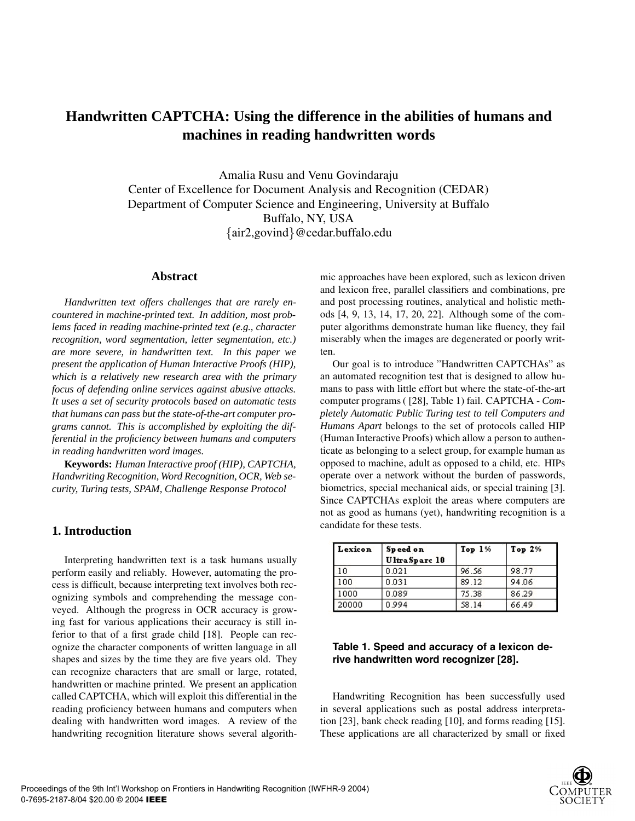# **Handwritten CAPTCHA: Using the difference in the abilities of humans and machines in reading handwritten words**

Amalia Rusu and Venu Govindaraju Center of Excellence for Document Analysis and Recognition (CEDAR) Department of Computer Science and Engineering, University at Buffalo Buffalo, NY, USA air2,govind@cedar.buffalo.edu

#### **Abstract**

*Handwritten text offers challenges that are rarely encountered in machine-printed text. In addition, most problems faced in reading machine-printed text (e.g., character recognition, word segmentation, letter segmentation, etc.) are more severe, in handwritten text. In this paper we present the application of Human Interactive Proofs (HIP), which is a relatively new research area with the primary focus of defending online services against abusive attacks. It uses a set of security protocols based on automatic tests that humans can pass but the state-of-the-art computer programs cannot. This is accomplished by exploiting the differential in the proficiency between humans and computers in reading handwritten word images.*

**Keywords:** *Human Interactive proof (HIP), CAPTCHA, Handwriting Recognition, Word Recognition, OCR, Web security, Turing tests, SPAM, Challenge Response Protocol*

## **1. Introduction**

Interpreting handwritten text is a task humans usually perform easily and reliably. However, automating the process is difficult, because interpreting text involves both recognizing symbols and comprehending the message conveyed. Although the progress in OCR accuracy is growing fast for various applications their accuracy is still inferior to that of a first grade child [18]. People can recognize the character components of written language in all shapes and sizes by the time they are five years old. They can recognize characters that are small or large, rotated, handwritten or machine printed. We present an application called CAPTCHA, which will exploit this differential in the reading proficiency between humans and computers when dealing with handwritten word images. A review of the handwriting recognition literature shows several algorithmic approaches have been explored, such as lexicon driven and lexicon free, parallel classifiers and combinations, pre and post processing routines, analytical and holistic methods [4, 9, 13, 14, 17, 20, 22]. Although some of the computer algorithms demonstrate human like fluency, they fail miserably when the images are degenerated or poorly written.

Our goal is to introduce "Handwritten CAPTCHAs" as an automated recognition test that is designed to allow humans to pass with little effort but where the state-of-the-art computer programs ( [28], Table 1) fail. CAPTCHA - *Completely Automatic Public Turing test to tell Computers and Humans Apart* belongs to the set of protocols called HIP (Human Interactive Proofs) which allow a person to authenticate as belonging to a select group, for example human as opposed to machine, adult as opposed to a child, etc. HIPs operate over a network without the burden of passwords, biometrics, special mechanical aids, or special training [3]. Since CAPTCHAs exploit the areas where computers are not as good as humans (yet), handwriting recognition is a candidate for these tests.

| Lexicon | Speed on<br>UltraSparc 10 | Top $1%$ | Top $2%$ |
|---------|---------------------------|----------|----------|
| 10      | 0.021                     | 96.56    | 98.77    |
| 100     | 0.031                     | 89.12    | 94.06    |
| 1000    | 0.089                     | 75.38    | 86.29    |
| 20000   | 0.994                     | 58.14    | 66.49    |

### **Table 1. Speed and accuracy of a lexicon derive handwritten word recognizer [28].**

Handwriting Recognition has been successfully used in several applications such as postal address interpretation [23], bank check reading [10], and forms reading [15]. These applications are all characterized by small or fixed

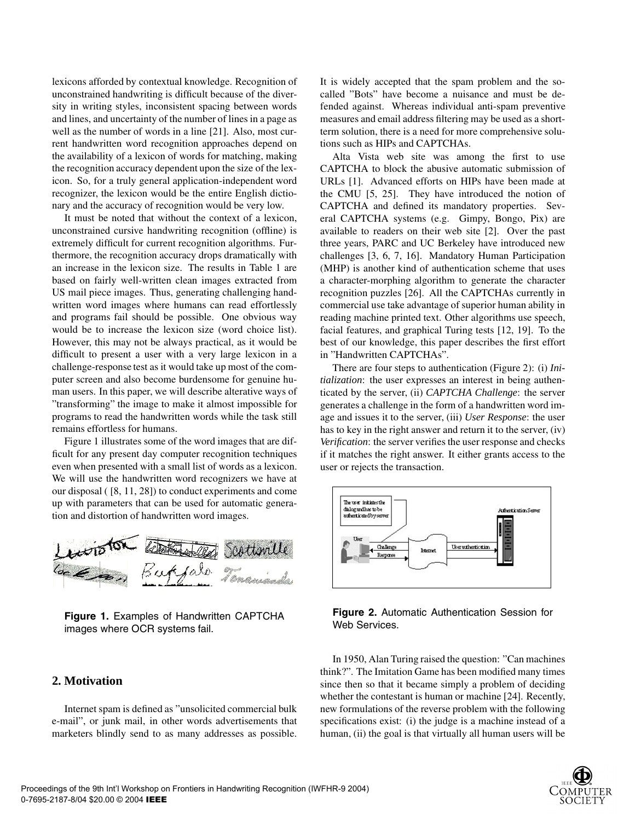lexicons afforded by contextual knowledge. Recognition of unconstrained handwriting is difficult because of the diversity in writing styles, inconsistent spacing between words and lines, and uncertainty of the number of lines in a page as well as the number of words in a line [21]. Also, most current handwritten word recognition approaches depend on the availability of a lexicon of words for matching, making the recognition accuracy dependent upon the size of the lexicon. So, for a truly general application-independent word recognizer, the lexicon would be the entire English dictionary and the accuracy of recognition would be very low.

It must be noted that without the context of a lexicon, unconstrained cursive handwriting recognition (offline) is extremely difficult for current recognition algorithms. Furthermore, the recognition accuracy drops dramatically with an increase in the lexicon size. The results in Table 1 are based on fairly well-written clean images extracted from US mail piece images. Thus, generating challenging handwritten word images where humans can read effortlessly and programs fail should be possible. One obvious way would be to increase the lexicon size (word choice list). However, this may not be always practical, as it would be difficult to present a user with a very large lexicon in a challenge-response test as it would take up most of the computer screen and also become burdensome for genuine human users. In this paper, we will describe alterative ways of "transforming" the image to make it almost impossible for programs to read the handwritten words while the task still remains effortless for humans.

Figure 1 illustrates some of the word images that are difficult for any present day computer recognition techniques even when presented with a small list of words as a lexicon. We will use the handwritten word recognizers we have at our disposal ( [8, 11, 28]) to conduct experiments and come up with parameters that can be used for automatic generation and distortion of handwritten word images.



**Figure 1.** Examples of Handwritten CAPTCHA images where OCR systems fail.

## **2. Motivation**

Internet spam is defined as "unsolicited commercial bulk e-mail", or junk mail, in other words advertisements that marketers blindly send to as many addresses as possible.

It is widely accepted that the spam problem and the socalled "Bots" have become a nuisance and must be defended against. Whereas individual anti-spam preventive measures and email address filtering may be used as a shortterm solution, there is a need for more comprehensive solutions such as HIPs and CAPTCHAs.

Alta Vista web site was among the first to use CAPTCHA to block the abusive automatic submission of URLs [1]. Advanced efforts on HIPs have been made at the CMU [5, 25]. They have introduced the notion of CAPTCHA and defined its mandatory properties. Several CAPTCHA systems (e.g. Gimpy, Bongo, Pix) are available to readers on their web site [2]. Over the past three years, PARC and UC Berkeley have introduced new challenges [3, 6, 7, 16]. Mandatory Human Participation (MHP) is another kind of authentication scheme that uses a character-morphing algorithm to generate the character recognition puzzles [26]. All the CAPTCHAs currently in commercial use take advantage of superior human ability in reading machine printed text. Other algorithms use speech, facial features, and graphical Turing tests [12, 19]. To the best of our knowledge, this paper describes the first effort in "Handwritten CAPTCHAs".

There are four steps to authentication (Figure 2): (i) *Initialization*: the user expresses an interest in being authenticated by the server, (ii) *CAPTCHA Challenge*: the server generates a challenge in the form of a handwritten word image and issues it to the server, (iii) *User Response*: the user has to key in the right answer and return it to the server, (iv) *Verification*: the server verifies the user response and checks if it matches the right answer. It either grants access to the user or rejects the transaction.



**Figure 2.** Automatic Authentication Session for Web Services.

In 1950, Alan Turing raised the question: "Can machines think?". The Imitation Game has been modified many times since then so that it became simply a problem of deciding whether the contestant is human or machine [24]. Recently, new formulations of the reverse problem with the following specifications exist: (i) the judge is a machine instead of a human, (ii) the goal is that virtually all human users will be

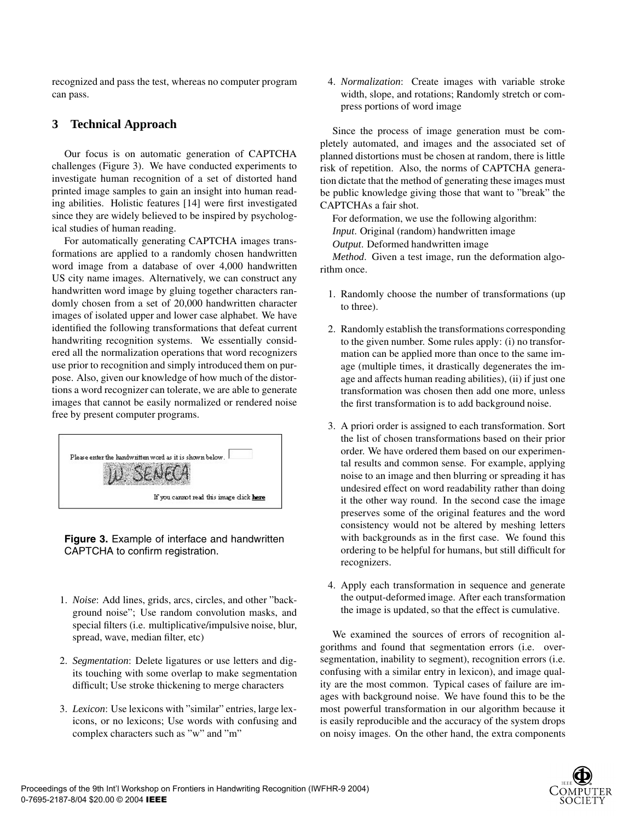recognized and pass the test, whereas no computer program can pass.

#### **3 Technical Approach**

Our focus is on automatic generation of CAPTCHA challenges (Figure 3). We have conducted experiments to investigate human recognition of a set of distorted hand printed image samples to gain an insight into human reading abilities. Holistic features [14] were first investigated since they are widely believed to be inspired by psychological studies of human reading.

For automatically generating CAPTCHA images transformations are applied to a randomly chosen handwritten word image from a database of over 4,000 handwritten US city name images. Alternatively, we can construct any handwritten word image by gluing together characters randomly chosen from a set of 20,000 handwritten character images of isolated upper and lower case alphabet. We have identified the following transformations that defeat current handwriting recognition systems. We essentially considered all the normalization operations that word recognizers use prior to recognition and simply introduced them on purpose. Also, given our knowledge of how much of the distortions a word recognizer can tolerate, we are able to generate images that cannot be easily normalized or rendered noise free by present computer programs.



**Figure 3.** Example of interface and handwritten CAPTCHA to confirm registration.

- 1. *Noise*: Add lines, grids, arcs, circles, and other "background noise"; Use random convolution masks, and special filters (i.e. multiplicative/impulsive noise, blur, spread, wave, median filter, etc)
- 2. *Segmentation*: Delete ligatures or use letters and digits touching with some overlap to make segmentation difficult; Use stroke thickening to merge characters
- 3. *Lexicon*: Use lexicons with "similar" entries, large lexicons, or no lexicons; Use words with confusing and complex characters such as "w" and "m"

4. *Normalization*: Create images with variable stroke width, slope, and rotations; Randomly stretch or compress portions of word image

Since the process of image generation must be completely automated, and images and the associated set of planned distortions must be chosen at random, there is little risk of repetition. Also, the norms of CAPTCHA generation dictate that the method of generating these images must be public knowledge giving those that want to "break" the CAPTCHAs a fair shot.

For deformation, we use the following algorithm: *Input*. Original (random) handwritten image *Output*. Deformed handwritten image

*Method*. Given a test image, run the deformation algorithm once.

- 1. Randomly choose the number of transformations (up to three).
- 2. Randomly establish the transformations corresponding to the given number. Some rules apply: (i) no transformation can be applied more than once to the same image (multiple times, it drastically degenerates the image and affects human reading abilities), (ii) if just one transformation was chosen then add one more, unless the first transformation is to add background noise.
- 3. A priori order is assigned to each transformation. Sort the list of chosen transformations based on their prior order. We have ordered them based on our experimental results and common sense. For example, applying noise to an image and then blurring or spreading it has undesired effect on word readability rather than doing it the other way round. In the second case the image preserves some of the original features and the word consistency would not be altered by meshing letters with backgrounds as in the first case. We found this ordering to be helpful for humans, but still difficult for recognizers.
- 4. Apply each transformation in sequence and generate the output-deformed image. After each transformation the image is updated, so that the effect is cumulative.

We examined the sources of errors of recognition algorithms and found that segmentation errors (i.e. oversegmentation, inability to segment), recognition errors (i.e. confusing with a similar entry in lexicon), and image quality are the most common. Typical cases of failure are images with background noise. We have found this to be the most powerful transformation in our algorithm because it is easily reproducible and the accuracy of the system drops on noisy images. On the other hand, the extra components

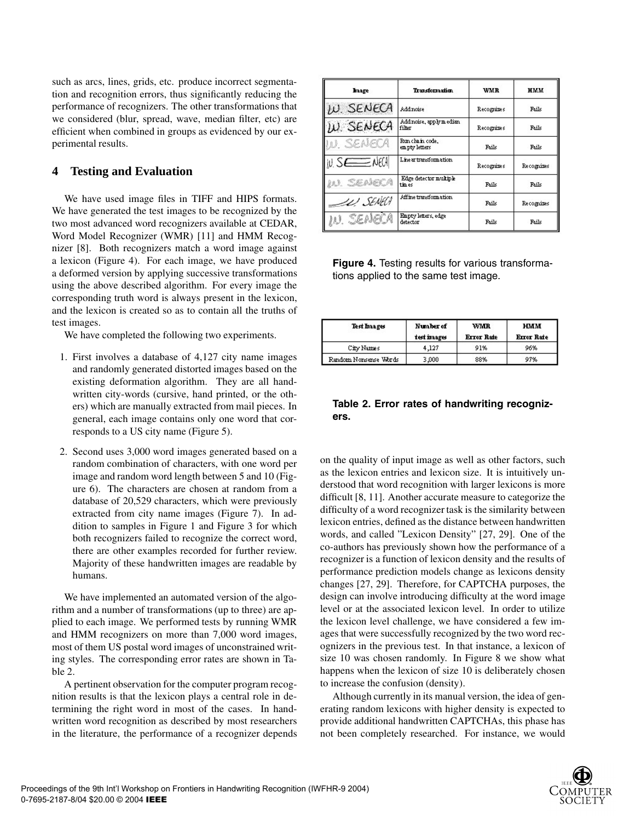such as arcs, lines, grids, etc. produce incorrect segmentation and recognition errors, thus significantly reducing the performance of recognizers. The other transformations that we considered (blur, spread, wave, median filter, etc) are efficient when combined in groups as evidenced by our experimental results.

## **4 Testing and Evaluation**

We have used image files in TIFF and HIPS formats. We have generated the test images to be recognized by the two most advanced word recognizers available at CEDAR, Word Model Recognizer (WMR) [11] and HMM Recognizer [8]. Both recognizers match a word image against a lexicon (Figure 4). For each image, we have produced a deformed version by applying successive transformations using the above described algorithm. For every image the corresponding truth word is always present in the lexicon, and the lexicon is created so as to contain all the truths of test images.

We have completed the following two experiments.

- 1. First involves a database of 4,127 city name images and randomly generated distorted images based on the existing deformation algorithm. They are all handwritten city-words (cursive, hand printed, or the others) which are manually extracted from mail pieces. In general, each image contains only one word that corresponds to a US city name (Figure 5).
- 2. Second uses 3,000 word images generated based on a random combination of characters, with one word per image and random word length between 5 and 10 (Figure 6). The characters are chosen at random from a database of 20,529 characters, which were previously extracted from city name images (Figure 7). In addition to samples in Figure 1 and Figure 3 for which both recognizers failed to recognize the correct word, there are other examples recorded for further review. Majority of these handwritten images are readable by humans.

We have implemented an automated version of the algorithm and a number of transformations (up to three) are applied to each image. We performed tests by running WMR and HMM recognizers on more than 7,000 word images, most of them US postal word images of unconstrained writing styles. The corresponding error rates are shown in Table 2.

A pertinent observation for the computer program recognition results is that the lexicon plays a central role in determining the right word in most of the cases. In handwritten word recognition as described by most researchers in the literature, the performance of a recognizer depends

| Inage            | Transformation                   | WMR                | <b>HMM</b>  |
|------------------|----------------------------------|--------------------|-------------|
| IN SENECA        | Addnoise                         | Recognizes         | Fails       |
| <b>W. SENECA</b> | Addnoise, apply median<br>filter | Recognizes         | Fails       |
| W. SENECA        | Run chain code.<br>empty letters | Fails              | Fails       |
| IN SEENECA       | Line or transformation           | Recognize <i>s</i> | Re cognizes |
| W. SENECA        | Edge detector multiple<br>tin es | Fails              | Fails       |
| <u>I</u> SENECA  | Affine transformation            | Fails              | Re cognizes |
| W. SENECA        | Empty letters, edge<br>detector  | Fails              | Fails       |

**Figure 4.** Testing results for various transformations applied to the same test image.

| Test Images           | Number of<br>test images | WMR<br><b>Error Rate</b> | ним<br><b>Error Rate</b> |
|-----------------------|--------------------------|--------------------------|--------------------------|
| City Names            | 4.127                    | 91%                      | 96%                      |
| Random Nonsense Words | 3.000                    | 88%                      | 97%                      |

### **Table 2. Error rates of handwriting recognizers.**

on the quality of input image as well as other factors, such as the lexicon entries and lexicon size. It is intuitively understood that word recognition with larger lexicons is more difficult [8, 11]. Another accurate measure to categorize the difficulty of a word recognizer task is the similarity between lexicon entries, defined as the distance between handwritten words, and called "Lexicon Density" [27, 29]. One of the co-authors has previously shown how the performance of a recognizer is a function of lexicon density and the results of performance prediction models change as lexicons density changes [27, 29]. Therefore, for CAPTCHA purposes, the design can involve introducing difficulty at the word image level or at the associated lexicon level. In order to utilize the lexicon level challenge, we have considered a few images that were successfully recognized by the two word recognizers in the previous test. In that instance, a lexicon of size 10 was chosen randomly. In Figure 8 we show what happens when the lexicon of size 10 is deliberately chosen to increase the confusion (density).

Although currently in its manual version, the idea of generating random lexicons with higher density is expected to provide additional handwritten CAPTCHAs, this phase has not been completely researched. For instance, we would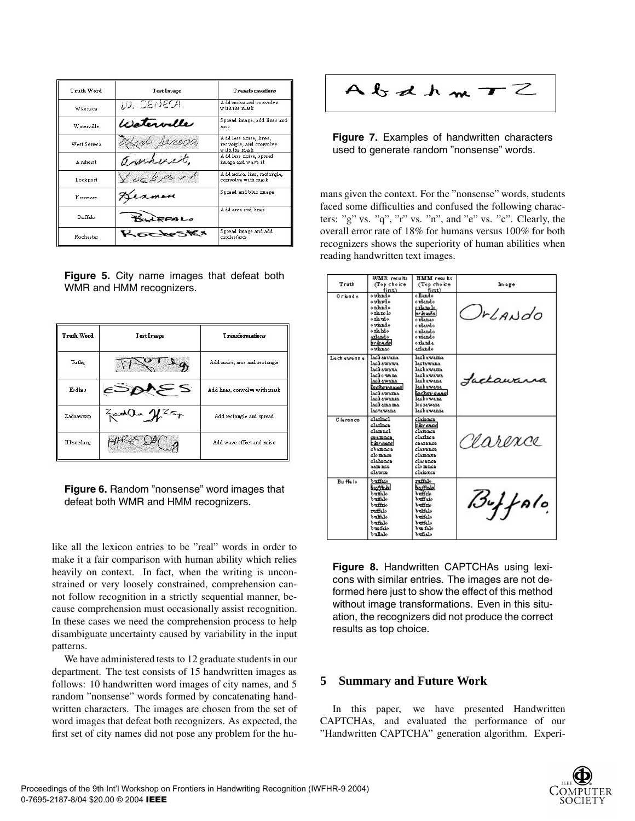| Truth Word      | <b>Test Image</b>    | Transformations                                                    |
|-----------------|----------------------|--------------------------------------------------------------------|
| <b>WS</b> eneca | IJJ. SENECA          | Add noise and convolve<br>with the mask                            |
| Waterville      | Waterville           | Spread image, add lines and<br>ares                                |
| West Semena     | 216 12/2200          | Add less noise, lines,<br>rectangle, and convolve<br>with the mask |
| A mherst        | annivoor,            | Add less noise, spread<br>image and wave it                        |
| Lockport        | $X_{02}Z_{10}Z_{11}$ | Add noise, line, rectangle,<br>convolve with mask                  |
| Kenmore         | ermore               | Spread and blur image                                              |
| Buffalo         | RUCEFALO             | Add arcs and lines                                                 |
| Rochester       | RochesKx             | Spread image and add<br>cimles/arcs                                |

**Figure 5.** City name images that defeat both WMR and HMM recognizers.

| <b>Truth Word</b> | <b>TestImage</b> | <b>Transformations</b>        |
|-------------------|------------------|-------------------------------|
| Tuthq             |                  | Add noise, arcs and rectangle |
| Esdhes            | S.               | Add lines, convolve with mask |
| Zadaawzsp         | Fada Hasp        | Add rectangle and spread      |
| Hhzecdacg         |                  | Add wave effect and mise      |

**Figure 6.** Random "nonsense" word images that defeat both WMR and HMM recognizers.

like all the lexicon entries to be "real" words in order to make it a fair comparison with human ability which relies heavily on context. In fact, when the writing is unconstrained or very loosely constrained, comprehension cannot follow recognition in a strictly sequential manner, because comprehension must occasionally assist recognition. In these cases we need the comprehension process to help disambiguate uncertainty caused by variability in the input patterns.

We have administered tests to 12 graduate students in our department. The test consists of 15 handwritten images as follows: 10 handwritten word images of city names, and 5 random "nonsense" words formed by concatenating handwritten characters. The images are chosen from the set of word images that defeat both recognizers. As expected, the first set of city names did not pose any problem for the hu-



**Figure 7.** Examples of handwritten characters used to generate random "nonsense" words.

mans given the context. For the "nonsense" words, students faced some difficulties and confused the following characters: "g" vs. "q", "r" vs. "n", and "e" vs. "c". Clearly, the overall error rate of 18% for humans versus 100% for both recognizers shows the superiority of human abilities when reading handwritten text images.

| Truth      | WMR, results                                                                                                                                     | HMM results                                                                                                                                 |                |
|------------|--------------------------------------------------------------------------------------------------------------------------------------------------|---------------------------------------------------------------------------------------------------------------------------------------------|----------------|
|            | (Top choice)<br>first)                                                                                                                           | (Top choice)<br>first)                                                                                                                      | Im ege         |
| Orkndo     | o vlando<br>ovkudo<br>مقعداته<br>o ria no lo<br>orkudo<br>oviando<br>orkhio<br>arlando<br>or iznatol<br>outhneo                                  | o Lando<br>o tando<br>o rla no lo<br>priendol<br>ordanao<br>o busht o<br>o hando<br>o viando<br>orknda<br>arlando                           | <i>Urlando</i> |
| Leckewenne | lac) asyana<br>lack aways<br>laskawana.<br>las lo ve na<br>las) awana<br><b>lackavanna</b><br>lash awama<br>lachawanza<br>lachamama<br>lactawana | lac) awarna<br>lastawana<br>lac) awarra<br>lac) awawa<br>lackawana.<br>lashawana<br>lacitav annal<br>lackowana<br>log tawata<br>las) awanza | Lactawarra     |
| Clarence   | clarincl<br>elarlnea<br>clamncl<br>GRAINING R<br>bieronool<br>sbamnsa<br>alo mnan<br>slahansa<br><b>AATA DGB</b><br>alawan.                      | clainnen<br><b>Elercnoc</b><br>clatence<br>clarince.<br><b>GRAINING</b><br>claunnen<br>clamnus<br>وعبدوعاء<br>cle mnca<br>clainven          | Clarexce       |
| Bu ffe lo  | buffaio<br>bu Meiol<br>butfalo<br>buitalo<br>buffrio<br>mffalo<br>bulfalo<br>bufalo<br>busfaio<br>bullalo                                        | raffalo<br>buffalo <br>հաքքրի<br>b <del>uff</del> aio<br>հաքքամ<br>bulfalo<br>buifalo<br>butfalo<br>bua falo<br>bufialo                     | $\beta$ offalo |

**Figure 8.** Handwritten CAPTCHAs using lexicons with similar entries. The images are not deformed here just to show the effect of this method without image transformations. Even in this situation, the recognizers did not produce the correct results as top choice.

## **5 Summary and Future Work**

In this paper, we have presented Handwritten CAPTCHAs, and evaluated the performance of our "Handwritten CAPTCHA" generation algorithm. Experi-